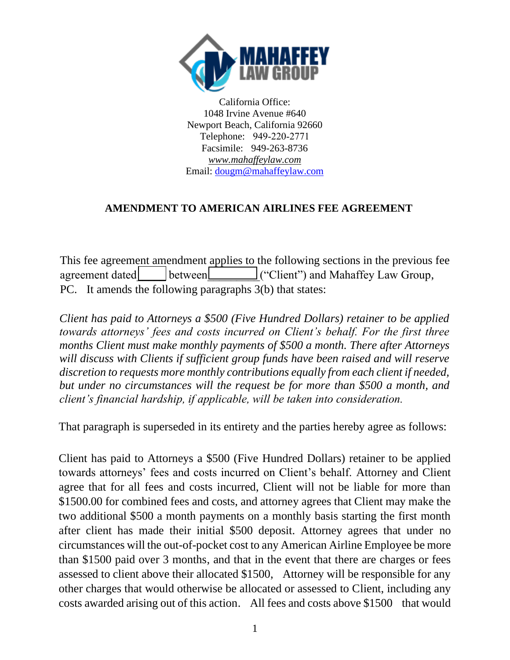

California Office: 1048 Irvine Avenue #640 Newport Beach, California 92660 Telephone: 949-220-2771 Facsimile: 949-263-8736 *www.mahaffeylaw.com*  Email: [dougm@mahaffeylaw.com](mailto:dougm@mahaffeylaw.com)

## **AMENDMENT TO AMERICAN AIRLINES FEE AGREEMENT**

This fee agreement amendment applies to the following sections in the previous fee agreement dated between ("Client") and Mahaffey Law Group, PC. It amends the following paragraphs 3(b) that states:

*Client has paid to Attorneys a \$500 (Five Hundred Dollars) retainer to be applied towards attorneys' fees and costs incurred on Client's behalf. For the first three months Client must make monthly payments of \$500 a month. There after Attorneys will discuss with Clients if sufficient group funds have been raised and will reserve discretion to requests more monthly contributions equally from each client if needed, but under no circumstances will the request be for more than \$500 a month, and client's financial hardship, if applicable, will be taken into consideration.* 

That paragraph is superseded in its entirety and the parties hereby agree as follows:

Client has paid to Attorneys a \$500 (Five Hundred Dollars) retainer to be applied towards attorneys' fees and costs incurred on Client's behalf. Attorney and Client agree that for all fees and costs incurred, Client will not be liable for more than \$1500.00 for combined fees and costs, and attorney agrees that Client may make the two additional \$500 a month payments on a monthly basis starting the first month after client has made their initial \$500 deposit. Attorney agrees that under no circumstances will the out-of-pocket cost to any American Airline Employee be more than \$1500 paid over 3 months, and that in the event that there are charges or fees assessed to client above their allocated \$1500, Attorney will be responsible for any other charges that would otherwise be allocated or assessed to Client, including any costs awarded arising out of this action. All fees and costs above \$1500 that would